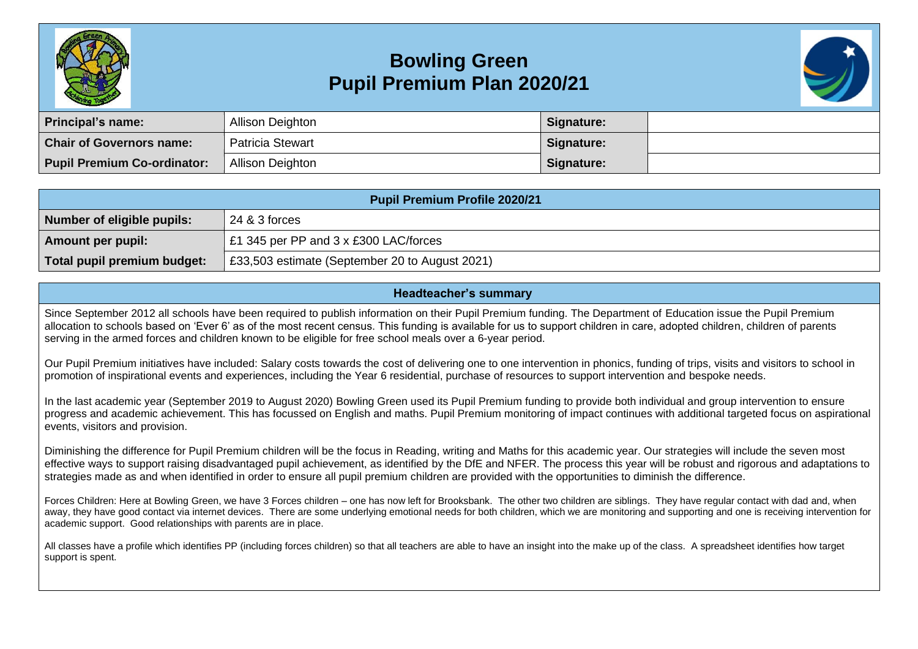

## **Bowling Green Pupil Premium Plan 2020/21**



| Principal's name:                  | Allison Deighton        | Signature: |  |
|------------------------------------|-------------------------|------------|--|
| <b>Chair of Governors name:</b>    | <b>Patricia Stewart</b> | Signature: |  |
| <b>Pupil Premium Co-ordinator:</b> | Allison Deighton        | Signature: |  |

| <b>Pupil Premium Profile 2020/21</b> |                                                |  |  |  |
|--------------------------------------|------------------------------------------------|--|--|--|
| Number of eligible pupils:           | 24 & 3 forces                                  |  |  |  |
| Amount per pupil:                    | £1 345 per PP and 3 x £300 LAC/forces          |  |  |  |
| Total pupil premium budget:          | £33,503 estimate (September 20 to August 2021) |  |  |  |

## **Headteacher's summary**

Since September 2012 all schools have been required to publish information on their Pupil Premium funding. The Department of Education issue the Pupil Premium allocation to schools based on 'Ever 6' as of the most recent census. This funding is available for us to support children in care, adopted children, children of parents serving in the armed forces and children known to be eligible for free school meals over a 6-year period.

Our Pupil Premium initiatives have included: Salary costs towards the cost of delivering one to one intervention in phonics, funding of trips, visits and visitors to school in promotion of inspirational events and experiences, including the Year 6 residential, purchase of resources to support intervention and bespoke needs.

In the last academic year (September 2019 to August 2020) Bowling Green used its Pupil Premium funding to provide both individual and group intervention to ensure progress and academic achievement. This has focussed on English and maths. Pupil Premium monitoring of impact continues with additional targeted focus on aspirational events, visitors and provision.

Diminishing the difference for Pupil Premium children will be the focus in Reading, writing and Maths for this academic year. Our strategies will include the seven most effective ways to support raising disadvantaged pupil achievement, as identified by the DfE and NFER. The process this year will be robust and rigorous and adaptations to strategies made as and when identified in order to ensure all pupil premium children are provided with the opportunities to diminish the difference.

Forces Children: Here at Bowling Green, we have 3 Forces children – one has now left for Brooksbank. The other two children are siblings. They have regular contact with dad and, when away, they have good contact via internet devices. There are some underlying emotional needs for both children, which we are monitoring and supporting and one is receiving intervention for academic support. Good relationships with parents are in place.

All classes have a profile which identifies PP (including forces children) so that all teachers are able to have an insight into the make up of the class. A spreadsheet identifies how target support is spent.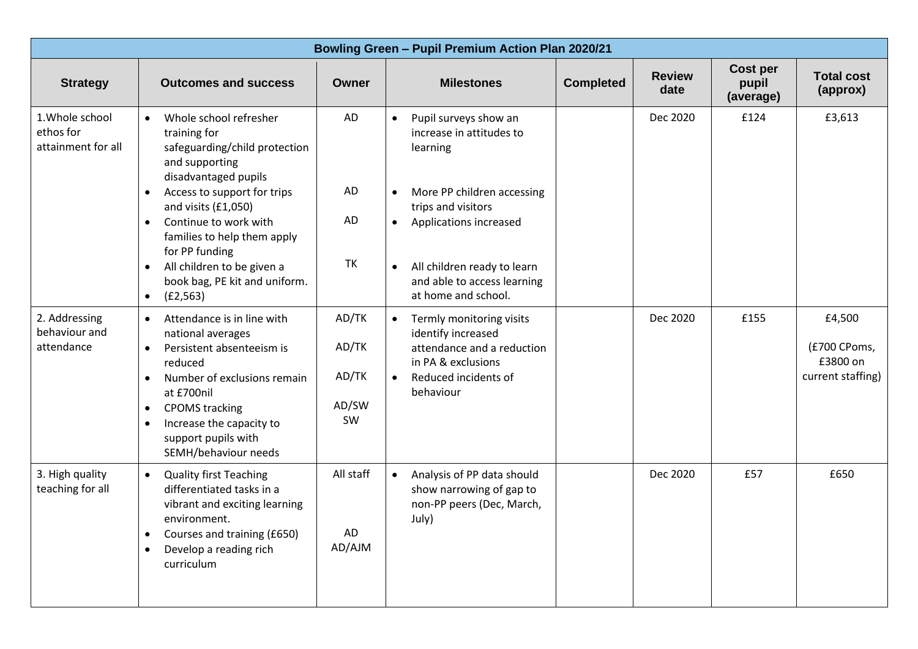| <b>Bowling Green - Pupil Premium Action Plan 2020/21</b> |                                                                                                                                                                                                                                                                                                                                                                      |                                        |                                                                                                                                                                                                                                                                                   |                                                         |  |  |
|----------------------------------------------------------|----------------------------------------------------------------------------------------------------------------------------------------------------------------------------------------------------------------------------------------------------------------------------------------------------------------------------------------------------------------------|----------------------------------------|-----------------------------------------------------------------------------------------------------------------------------------------------------------------------------------------------------------------------------------------------------------------------------------|---------------------------------------------------------|--|--|
| <b>Strategy</b>                                          | <b>Outcomes and success</b>                                                                                                                                                                                                                                                                                                                                          | <b>Owner</b>                           | Cost per<br><b>Review</b><br><b>Milestones</b><br><b>Completed</b><br>pupil<br>date<br>(average)                                                                                                                                                                                  | <b>Total cost</b><br>(approx)                           |  |  |
| 1. Whole school<br>ethos for<br>attainment for all       | Whole school refresher<br>$\bullet$<br>training for<br>safeguarding/child protection<br>and supporting<br>disadvantaged pupils<br>Access to support for trips<br>$\bullet$<br>and visits (£1,050)<br>Continue to work with<br>$\bullet$<br>families to help them apply<br>for PP funding<br>All children to be given a<br>$\bullet$<br>book bag, PE kit and uniform. | AD<br>AD<br>AD<br><b>TK</b>            | Dec 2020<br>£124<br>Pupil surveys show an<br>$\bullet$<br>increase in attitudes to<br>learning<br>More PP children accessing<br>$\bullet$<br>trips and visitors<br>Applications increased<br>$\bullet$<br>All children ready to learn<br>$\bullet$<br>and able to access learning | £3,613                                                  |  |  |
| 2. Addressing<br>behaviour and<br>attendance             | (E2, 563)<br>$\bullet$<br>Attendance is in line with<br>$\bullet$<br>national averages<br>Persistent absenteeism is<br>$\bullet$<br>reduced<br>Number of exclusions remain<br>$\bullet$<br>at £700nil<br><b>CPOMS</b> tracking<br>$\bullet$<br>Increase the capacity to<br>$\bullet$<br>support pupils with<br>SEMH/behaviour needs                                  | AD/TK<br>AD/TK<br>AD/TK<br>AD/SW<br>SW | at home and school.<br>Dec 2020<br>£155<br>• Termly monitoring visits<br>identify increased<br>attendance and a reduction<br>in PA & exclusions<br>Reduced incidents of<br>behaviour                                                                                              | £4,500<br>(£700 CPoms,<br>£3800 on<br>current staffing) |  |  |
| 3. High quality<br>teaching for all                      | <b>Quality first Teaching</b><br>$\bullet$<br>differentiated tasks in a<br>vibrant and exciting learning<br>environment.<br>Courses and training (£650)<br>$\bullet$<br>Develop a reading rich<br>$\bullet$<br>curriculum                                                                                                                                            | All staff<br>AD<br>AD/AJM              | Dec 2020<br>£57<br>Analysis of PP data should<br>$\bullet$<br>show narrowing of gap to<br>non-PP peers (Dec, March,<br>July)                                                                                                                                                      | £650                                                    |  |  |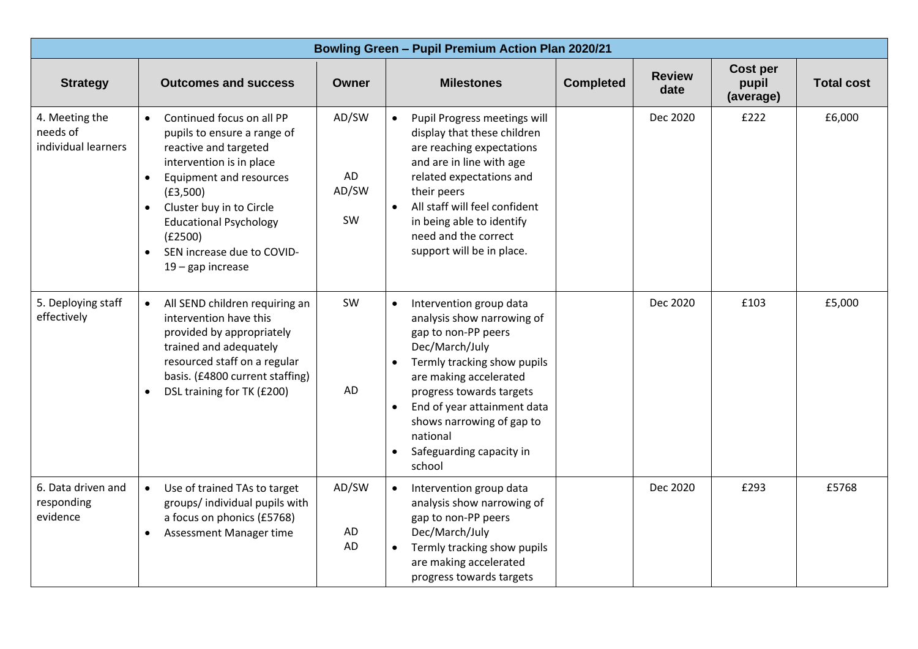| <b>Bowling Green - Pupil Premium Action Plan 2020/21</b> |                                                                                                                                                                                                                                                                                                                                       |                            |                                                                                                                                                                                                                                                                                                                             |                  |                       |                                |                   |
|----------------------------------------------------------|---------------------------------------------------------------------------------------------------------------------------------------------------------------------------------------------------------------------------------------------------------------------------------------------------------------------------------------|----------------------------|-----------------------------------------------------------------------------------------------------------------------------------------------------------------------------------------------------------------------------------------------------------------------------------------------------------------------------|------------------|-----------------------|--------------------------------|-------------------|
| <b>Strategy</b>                                          | <b>Outcomes and success</b>                                                                                                                                                                                                                                                                                                           | <b>Owner</b>               | <b>Milestones</b>                                                                                                                                                                                                                                                                                                           | <b>Completed</b> | <b>Review</b><br>date | Cost per<br>pupil<br>(average) | <b>Total cost</b> |
| 4. Meeting the<br>needs of<br>individual learners        | Continued focus on all PP<br>$\bullet$<br>pupils to ensure a range of<br>reactive and targeted<br>intervention is in place<br>Equipment and resources<br>$\bullet$<br>(E3,500)<br>Cluster buy in to Circle<br>$\bullet$<br><b>Educational Psychology</b><br>(E2500)<br>SEN increase due to COVID-<br>$\bullet$<br>$19$ – gap increase | AD/SW<br>AD<br>AD/SW<br>SW | Pupil Progress meetings will<br>display that these children<br>are reaching expectations<br>and are in line with age<br>related expectations and<br>their peers<br>All staff will feel confident<br>in being able to identify<br>need and the correct<br>support will be in place.                                          |                  | Dec 2020              | £222                           | £6,000            |
| 5. Deploying staff<br>effectively                        | All SEND children requiring an<br>$\bullet$<br>intervention have this<br>provided by appropriately<br>trained and adequately<br>resourced staff on a regular<br>basis. (£4800 current staffing)<br>DSL training for TK (£200)<br>$\bullet$                                                                                            | SW<br>AD                   | Intervention group data<br>$\bullet$<br>analysis show narrowing of<br>gap to non-PP peers<br>Dec/March/July<br>Termly tracking show pupils<br>are making accelerated<br>progress towards targets<br>End of year attainment data<br>$\bullet$<br>shows narrowing of gap to<br>national<br>Safeguarding capacity in<br>school |                  | Dec 2020              | £103                           | £5,000            |
| 6. Data driven and<br>responding<br>evidence             | Use of trained TAs to target<br>$\bullet$<br>groups/ individual pupils with<br>a focus on phonics (£5768)<br>Assessment Manager time<br>$\bullet$                                                                                                                                                                                     | AD/SW<br>AD<br>AD          | Intervention group data<br>analysis show narrowing of<br>gap to non-PP peers<br>Dec/March/July<br>Termly tracking show pupils<br>are making accelerated<br>progress towards targets                                                                                                                                         |                  | Dec 2020              | £293                           | £5768             |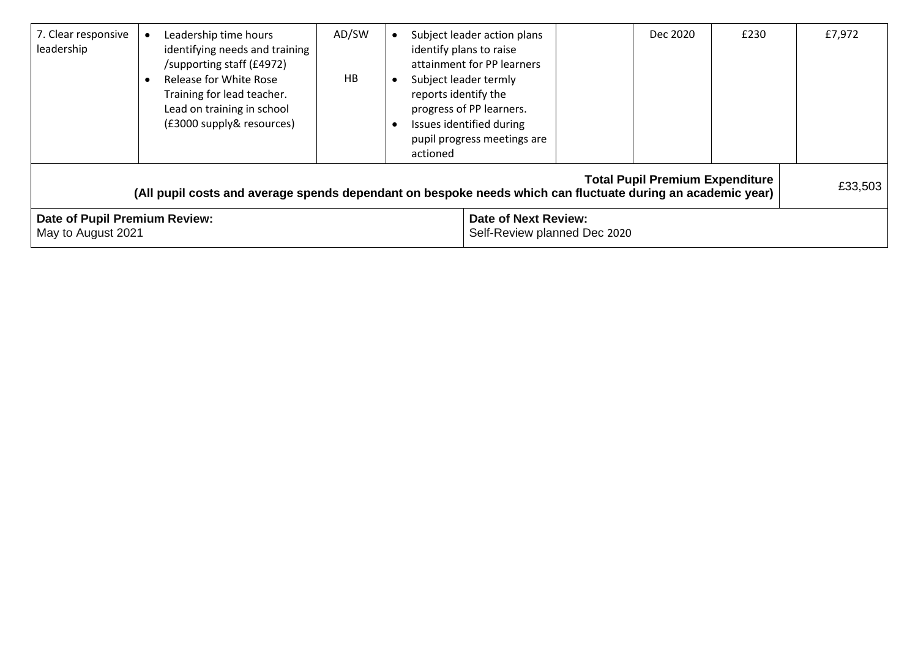| 7. Clear responsive<br>leadership                                                                                                                                | Leadership time hours<br>identifying needs and training<br>/supporting staff (£4972)<br>Release for White Rose<br>Training for lead teacher.<br>Lead on training in school<br>(£3000 supply& resources) | AD/SW<br>HB | Subject leader action plans<br>identify plans to raise<br>attainment for PP learners<br>Subject leader termly<br>reports identify the<br>progress of PP learners.<br>Issues identified during<br>pupil progress meetings are<br>actioned |  |  | Dec 2020 | £230 | £7,972 |
|------------------------------------------------------------------------------------------------------------------------------------------------------------------|---------------------------------------------------------------------------------------------------------------------------------------------------------------------------------------------------------|-------------|------------------------------------------------------------------------------------------------------------------------------------------------------------------------------------------------------------------------------------------|--|--|----------|------|--------|
| <b>Total Pupil Premium Expenditure</b><br>£33,503<br>(All pupil costs and average spends dependant on bespoke needs which can fluctuate during an academic year) |                                                                                                                                                                                                         |             |                                                                                                                                                                                                                                          |  |  |          |      |        |
| Date of Pupil Premium Review:<br>May to August 2021                                                                                                              |                                                                                                                                                                                                         |             | <b>Date of Next Review:</b><br>Self-Review planned Dec 2020                                                                                                                                                                              |  |  |          |      |        |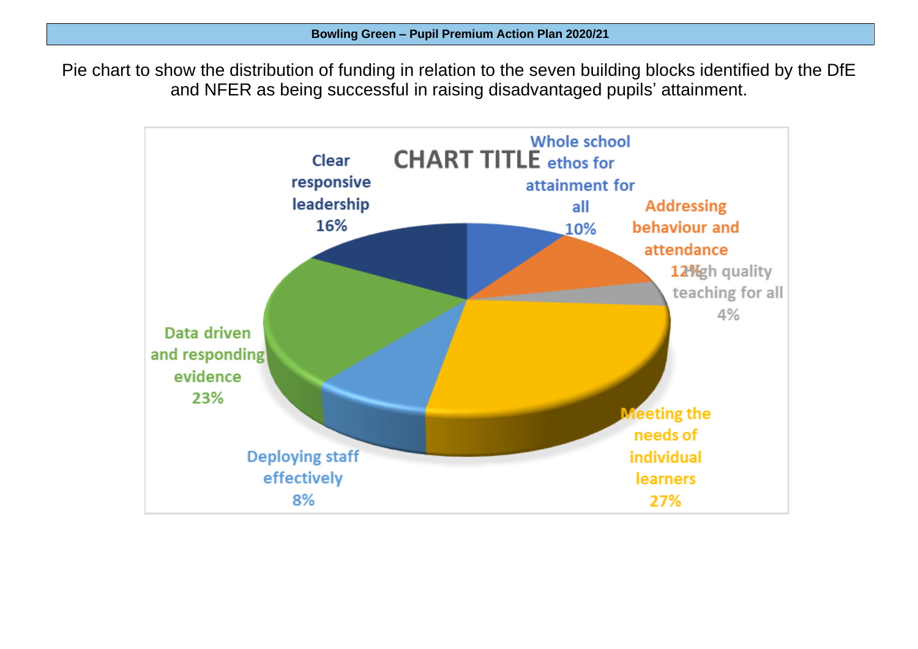Pie chart to show the distribution of funding in relation to the seven building blocks identified by the DfE and NFER as being successful in raising disadvantaged pupils' attainment.

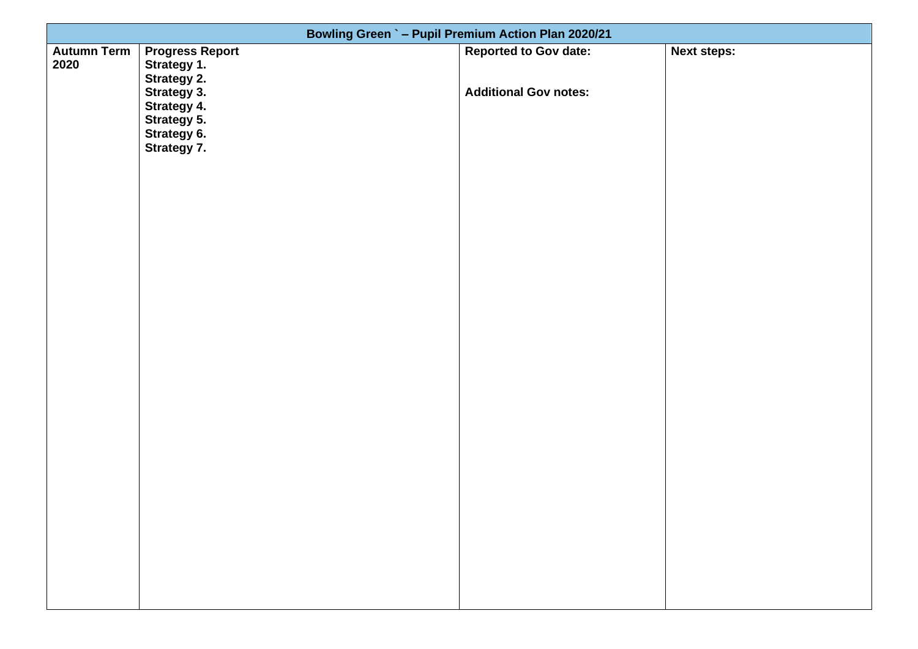| Bowling Green ` - Pupil Premium Action Plan 2020/21 |                                                      |                              |                    |  |  |  |
|-----------------------------------------------------|------------------------------------------------------|------------------------------|--------------------|--|--|--|
| <b>Autumn Term</b><br>2020                          | <b>Progress Report</b><br>Strategy 1.<br>Strategy 2. | <b>Reported to Gov date:</b> | <b>Next steps:</b> |  |  |  |
|                                                     | Strategy 3.<br>Strategy 4.                           | <b>Additional Gov notes:</b> |                    |  |  |  |
|                                                     | Strategy 5.<br>Strategy 6.<br>Strategy 7.            |                              |                    |  |  |  |
|                                                     |                                                      |                              |                    |  |  |  |
|                                                     |                                                      |                              |                    |  |  |  |
|                                                     |                                                      |                              |                    |  |  |  |
|                                                     |                                                      |                              |                    |  |  |  |
|                                                     |                                                      |                              |                    |  |  |  |
|                                                     |                                                      |                              |                    |  |  |  |
|                                                     |                                                      |                              |                    |  |  |  |
|                                                     |                                                      |                              |                    |  |  |  |
|                                                     |                                                      |                              |                    |  |  |  |
|                                                     |                                                      |                              |                    |  |  |  |
|                                                     |                                                      |                              |                    |  |  |  |
|                                                     |                                                      |                              |                    |  |  |  |
|                                                     |                                                      |                              |                    |  |  |  |
|                                                     |                                                      |                              |                    |  |  |  |